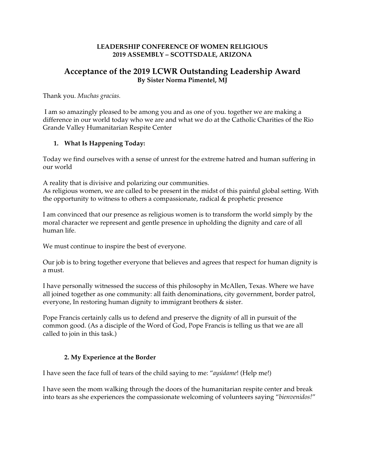### **LEADERSHIP CONFERENCE OF WOMEN RELIGIOUS 2019 ASSEMBLY – SCOTTSDALE, ARIZONA**

# **Acceptance of the 2019 LCWR Outstanding Leadership Award By Sister Norma Pimentel, MJ**

Thank you. *Muchas gracias.*

I am so amazingly pleased to be among you and as one of you. together we are making a difference in our world today who we are and what we do at the Catholic Charities of the Rio Grande Valley Humanitarian Respite Center

### **1. What Is Happening Today:**

Today we find ourselves with a sense of unrest for the extreme hatred and human suffering in our world

A reality that is divisive and polarizing our communities.

As religious women, we are called to be present in the midst of this painful global setting. With the opportunity to witness to others a compassionate, radical & prophetic presence

I am convinced that our presence as religious women is to transform the world simply by the moral character we represent and gentle presence in upholding the dignity and care of all human life.

We must continue to inspire the best of everyone.

Our job is to bring together everyone that believes and agrees that respect for human dignity is a must.

I have personally witnessed the success of this philosophy in McAllen, Texas. Where we have all joined together as one community: all faith denominations, city government, border patrol, everyone, In restoring human dignity to immigrant brothers & sister.

Pope Francis certainly calls us to defend and preserve the dignity of all in pursuit of the common good. (As a disciple of the Word of God, Pope Francis is telling us that we are all called to join in this task.)

## **2. My Experience at the Border**

I have seen the face full of tears of the child saying to me: "*ayúdame*! (Help me!)

I have seen the mom walking through the doors of the humanitarian respite center and break into tears as she experiences the compassionate welcoming of volunteers saying "*bienvenidos!*"